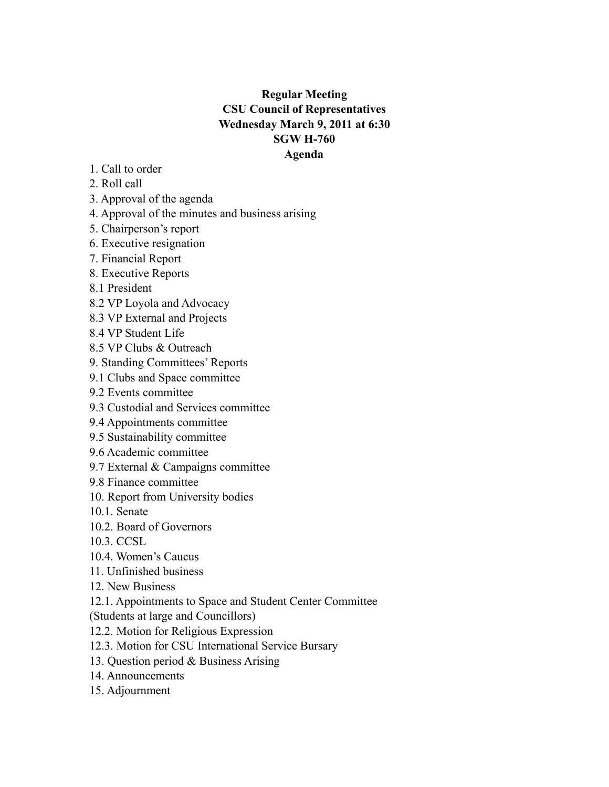# **Regular Meeting CSU Council of Representatives Wednesday March 9, 2011 at 6:30 SGW H-760 Agenda**

- 1. Call to order
- 2. Roll call
- 3. Approval of the agenda
- 4. Approval of the minutes and business arising
- 5. Chairperson's report
- 6. Executive resignation
- 7. Financial Report
- 8. Executive Reports
- 8.1 President
- 8.2 VP Loyola and Advocacy
- 8.3 VP External and Projects
- 8.4 VP Student Life
- 8.5 VP Clubs & Outreach
- 9. Standing Committees' Reports
- 9.1 Clubs and Space committee
- 9.2 Events committee
- 9.3 Custodial and Services committee
- 9.4 Appointments committee
- 9.5 Sustainability committee
- 9.6 Academic committee
- 9.7 External & Campaigns committee
- 9.8 Finance committee
- 10. Report from University bodies
- 10.1. Senate
- 10.2. Board of Governors
- 10.3. CCSL
- 10.4. Women's Caucus
- 11. Unfinished business
- 12. New Business
- 12.1. Appointments to Space and Student Center Committee
- (Students at large and Councillors)
- 12.2. Motion for Religious Expression
- 12.3. Motion for CSU International Service Bursary
- 13. Question period & Business Arising
- 14. Announcements
- 15. Adjournment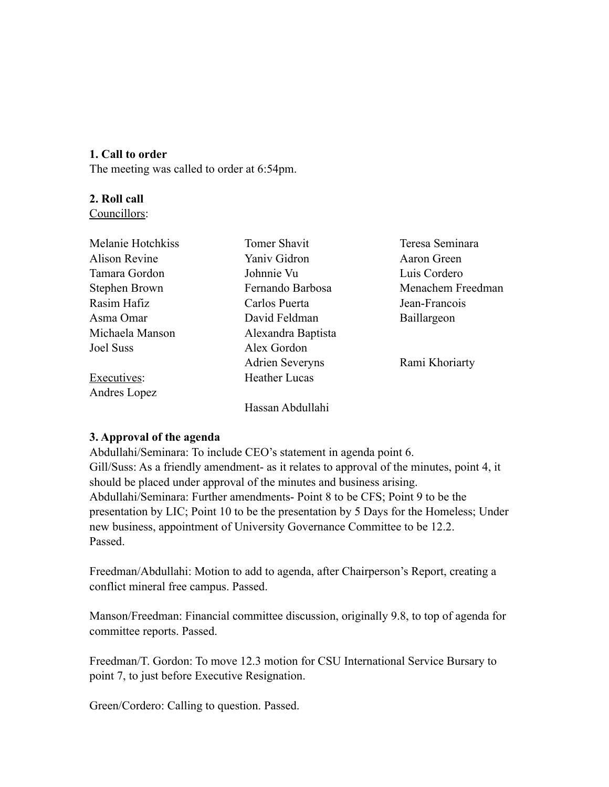## **1. Call to order**

The meeting was called to order at 6:54pm.

### **2. Roll call**

Councillors:

| Tomer Shavit           | Teresa Seminara   |
|------------------------|-------------------|
| Yaniv Gidron           | Aaron Green       |
| Johnnie Vu             | Luis Cordero      |
| Fernando Barbosa       | Menachem Freedman |
| Carlos Puerta          | Jean-Francois     |
| David Feldman          | Baillargeon       |
| Alexandra Baptista     |                   |
| Alex Gordon            |                   |
| <b>Adrien Severyns</b> | Rami Khoriarty    |
| <b>Heather Lucas</b>   |                   |
|                        |                   |
| Hassan Abdullahi       |                   |
|                        |                   |

### **3. Approval of the agenda**

Abdullahi/Seminara: To include CEO's statement in agenda point 6. Gill/Suss: As a friendly amendment- as it relates to approval of the minutes, point 4, it should be placed under approval of the minutes and business arising. Abdullahi/Seminara: Further amendments- Point 8 to be CFS; Point 9 to be the presentation by LIC; Point 10 to be the presentation by 5 Days for the Homeless; Under new business, appointment of University Governance Committee to be 12.2. Passed.

Freedman/Abdullahi: Motion to add to agenda, after Chairperson's Report, creating a conflict mineral free campus. Passed.

Manson/Freedman: Financial committee discussion, originally 9.8, to top of agenda for committee reports. Passed.

Freedman/T. Gordon: To move 12.3 motion for CSU International Service Bursary to point 7, to just before Executive Resignation.

Green/Cordero: Calling to question. Passed.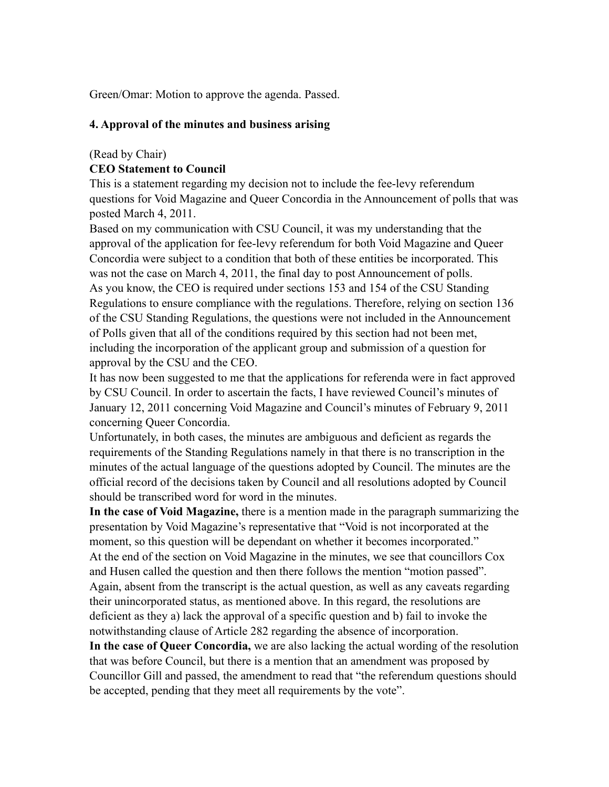Green/Omar: Motion to approve the agenda. Passed.

#### **4. Approval of the minutes and business arising**

#### (Read by Chair)

### **CEO Statement to Council**

This is a statement regarding my decision not to include the fee-levy referendum questions for Void Magazine and Queer Concordia in the Announcement of polls that was posted March 4, 2011.

Based on my communication with CSU Council, it was my understanding that the approval of the application for fee-levy referendum for both Void Magazine and Queer Concordia were subject to a condition that both of these entities be incorporated. This was not the case on March 4, 2011, the final day to post Announcement of polls. As you know, the CEO is required under sections 153 and 154 of the CSU Standing Regulations to ensure compliance with the regulations. Therefore, relying on section 136 of the CSU Standing Regulations, the questions were not included in the Announcement of Polls given that all of the conditions required by this section had not been met, including the incorporation of the applicant group and submission of a question for approval by the CSU and the CEO.

It has now been suggested to me that the applications for referenda were in fact approved by CSU Council. In order to ascertain the facts, I have reviewed Council's minutes of January 12, 2011 concerning Void Magazine and Council's minutes of February 9, 2011 concerning Queer Concordia.

Unfortunately, in both cases, the minutes are ambiguous and deficient as regards the requirements of the Standing Regulations namely in that there is no transcription in the minutes of the actual language of the questions adopted by Council. The minutes are the official record of the decisions taken by Council and all resolutions adopted by Council should be transcribed word for word in the minutes.

**In the case of Void Magazine,** there is a mention made in the paragraph summarizing the presentation by Void Magazine's representative that "Void is not incorporated at the moment, so this question will be dependant on whether it becomes incorporated." At the end of the section on Void Magazine in the minutes, we see that councillors Cox and Husen called the question and then there follows the mention "motion passed". Again, absent from the transcript is the actual question, as well as any caveats regarding their unincorporated status, as mentioned above. In this regard, the resolutions are deficient as they a) lack the approval of a specific question and b) fail to invoke the notwithstanding clause of Article 282 regarding the absence of incorporation.

**In the case of Queer Concordia,** we are also lacking the actual wording of the resolution that was before Council, but there is a mention that an amendment was proposed by Councillor Gill and passed, the amendment to read that "the referendum questions should be accepted, pending that they meet all requirements by the vote".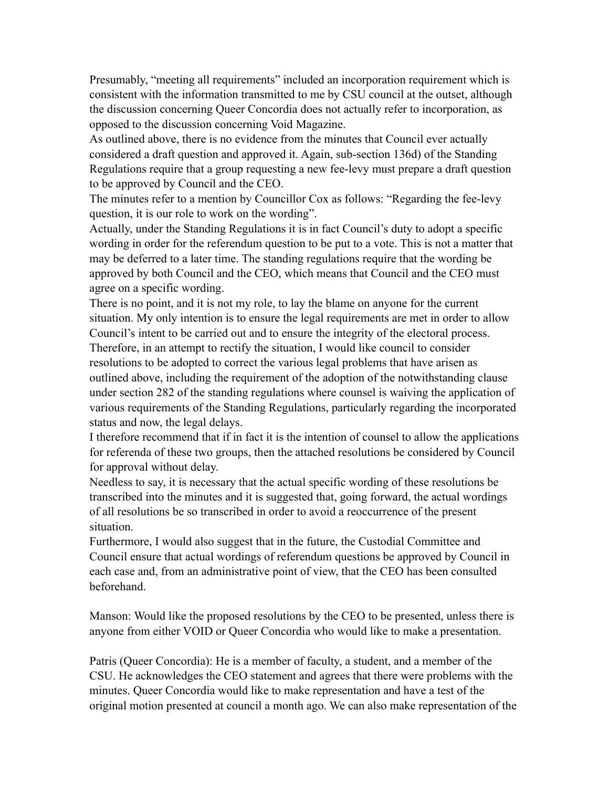Presumably, "meeting all requirements" included an incorporation requirement which is consistent with the information transmitted to me by CSU council at the outset, although the discussion concerning Queer Concordia does not actually refer to incorporation, as opposed to the discussion concerning Void Magazine.

As outlined above, there is no evidence from the minutes that Council ever actually considered a draft question and approved it. Again, sub-section 136d) of the Standing Regulations require that a group requesting a new fee-levy must prepare a draft question to be approved by Council and the CEO.

The minutes refer to a mention by Councillor Cox as follows: "Regarding the fee-levy question, it is our role to work on the wording".

Actually, under the Standing Regulations it is in fact Council's duty to adopt a specific wording in order for the referendum question to be put to a vote. This is not a matter that may be deferred to a later time. The standing regulations require that the wording be approved by both Council and the CEO, which means that Council and the CEO must agree on a specific wording.

There is no point, and it is not my role, to lay the blame on anyone for the current situation. My only intention is to ensure the legal requirements are met in order to allow Council's intent to be carried out and to ensure the integrity of the electoral process. Therefore, in an attempt to rectify the situation, I would like council to consider resolutions to be adopted to correct the various legal problems that have arisen as outlined above, including the requirement of the adoption of the notwithstanding clause under section 282 of the standing regulations where counsel is waiving the application of various requirements of the Standing Regulations, particularly regarding the incorporated status and now, the legal delays.

I therefore recommend that if in fact it is the intention of counsel to allow the applications for referenda of these two groups, then the attached resolutions be considered by Council for approval without delay.

Needless to say, it is necessary that the actual specific wording of these resolutions be transcribed into the minutes and it is suggested that, going forward, the actual wordings of all resolutions be so transcribed in order to avoid a reoccurrence of the present situation.

Furthermore, I would also suggest that in the future, the Custodial Committee and Council ensure that actual wordings of referendum questions be approved by Council in each case and, from an administrative point of view, that the CEO has been consulted beforehand.

Manson: Would like the proposed resolutions by the CEO to be presented, unless there is anyone from either VOID or Queer Concordia who would like to make a presentation.

Patris (Queer Concordia): He is a member of faculty, a student, and a member of the CSU. He acknowledges the CEO statement and agrees that there were problems with the minutes. Queer Concordia would like to make representation and have a test of the original motion presented at council a month ago. We can also make representation of the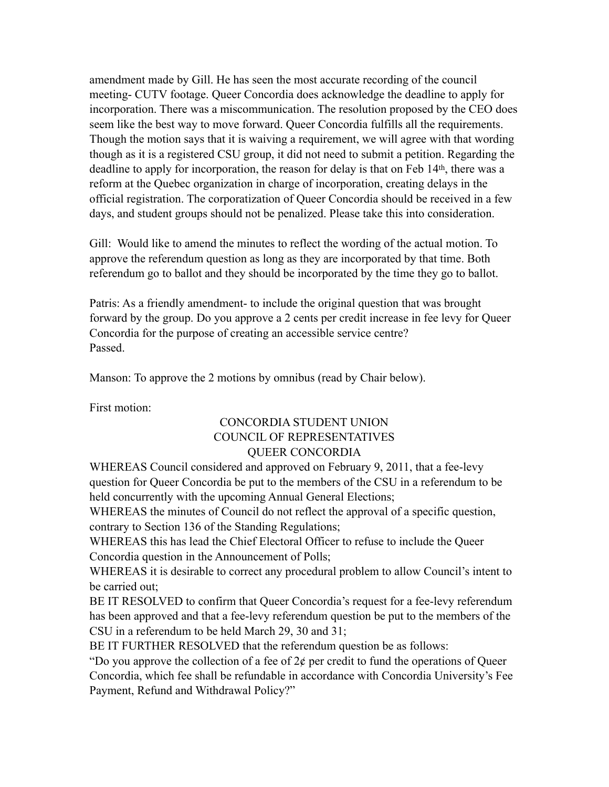amendment made by Gill. He has seen the most accurate recording of the council meeting- CUTV footage. Queer Concordia does acknowledge the deadline to apply for incorporation. There was a miscommunication. The resolution proposed by the CEO does seem like the best way to move forward. Queer Concordia fulfills all the requirements. Though the motion says that it is waiving a requirement, we will agree with that wording though as it is a registered CSU group, it did not need to submit a petition. Regarding the deadline to apply for incorporation, the reason for delay is that on Feb 14<sup>th</sup>, there was a reform at the Quebec organization in charge of incorporation, creating delays in the official registration. The corporatization of Queer Concordia should be received in a few days, and student groups should not be penalized. Please take this into consideration.

Gill: Would like to amend the minutes to reflect the wording of the actual motion. To approve the referendum question as long as they are incorporated by that time. Both referendum go to ballot and they should be incorporated by the time they go to ballot.

Patris: As a friendly amendment- to include the original question that was brought forward by the group. Do you approve a 2 cents per credit increase in fee levy for Queer Concordia for the purpose of creating an accessible service centre? Passed.

Manson: To approve the 2 motions by omnibus (read by Chair below).

First motion:

## CONCORDIA STUDENT UNION COUNCIL OF REPRESENTATIVES QUEER CONCORDIA

WHEREAS Council considered and approved on February 9, 2011, that a fee-levy question for Queer Concordia be put to the members of the CSU in a referendum to be held concurrently with the upcoming Annual General Elections;

WHEREAS the minutes of Council do not reflect the approval of a specific question, contrary to Section 136 of the Standing Regulations;

WHEREAS this has lead the Chief Electoral Officer to refuse to include the Queer Concordia question in the Announcement of Polls;

WHEREAS it is desirable to correct any procedural problem to allow Council's intent to be carried out;

BE IT RESOLVED to confirm that Queer Concordia's request for a fee-levy referendum has been approved and that a fee-levy referendum question be put to the members of the CSU in a referendum to be held March 29, 30 and 31;

BE IT FURTHER RESOLVED that the referendum question be as follows:

"Do you approve the collection of a fee of  $2\phi$  per credit to fund the operations of Queer Concordia, which fee shall be refundable in accordance with Concordia University's Fee Payment, Refund and Withdrawal Policy?"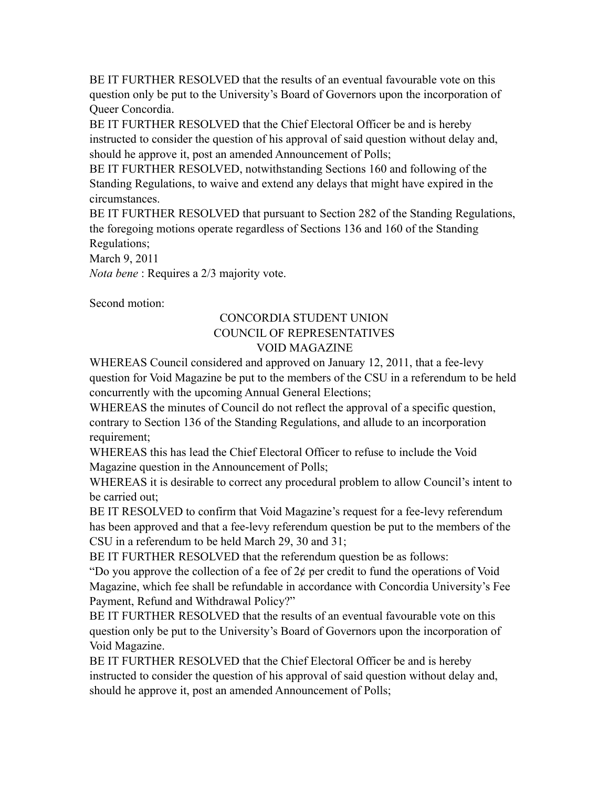BE IT FURTHER RESOLVED that the results of an eventual favourable vote on this question only be put to the University's Board of Governors upon the incorporation of Queer Concordia.

BE IT FURTHER RESOLVED that the Chief Electoral Officer be and is hereby instructed to consider the question of his approval of said question without delay and, should he approve it, post an amended Announcement of Polls;

BE IT FURTHER RESOLVED, notwithstanding Sections 160 and following of the Standing Regulations, to waive and extend any delays that might have expired in the circumstances.

BE IT FURTHER RESOLVED that pursuant to Section 282 of the Standing Regulations, the foregoing motions operate regardless of Sections 136 and 160 of the Standing Regulations;

March 9, 2011

*Nota bene* : Requires a 2/3 majority vote.

Second motion:

# CONCORDIA STUDENT UNION COUNCIL OF REPRESENTATIVES VOID MAGAZINE

WHEREAS Council considered and approved on January 12, 2011, that a fee-levy question for Void Magazine be put to the members of the CSU in a referendum to be held concurrently with the upcoming Annual General Elections;

WHEREAS the minutes of Council do not reflect the approval of a specific question, contrary to Section 136 of the Standing Regulations, and allude to an incorporation requirement;

WHEREAS this has lead the Chief Electoral Officer to refuse to include the Void Magazine question in the Announcement of Polls;

WHEREAS it is desirable to correct any procedural problem to allow Council's intent to be carried out;

BE IT RESOLVED to confirm that Void Magazine's request for a fee-levy referendum has been approved and that a fee-levy referendum question be put to the members of the CSU in a referendum to be held March 29, 30 and 31;

BE IT FURTHER RESOLVED that the referendum question be as follows:

"Do you approve the collection of a fee of  $2¢$  per credit to fund the operations of Void Magazine, which fee shall be refundable in accordance with Concordia University's Fee Payment, Refund and Withdrawal Policy?"

BE IT FURTHER RESOLVED that the results of an eventual favourable vote on this question only be put to the University's Board of Governors upon the incorporation of Void Magazine.

BE IT FURTHER RESOLVED that the Chief Electoral Officer be and is hereby instructed to consider the question of his approval of said question without delay and, should he approve it, post an amended Announcement of Polls;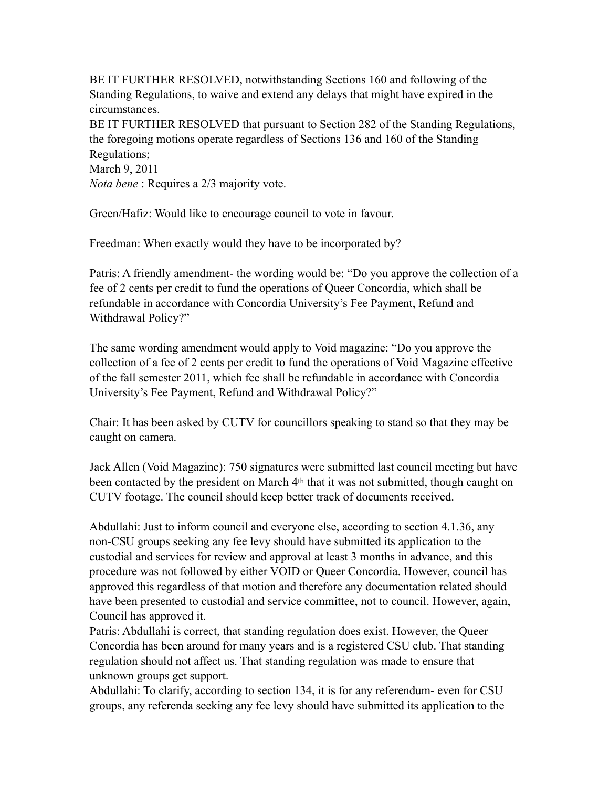BE IT FURTHER RESOLVED, notwithstanding Sections 160 and following of the Standing Regulations, to waive and extend any delays that might have expired in the circumstances. BE IT FURTHER RESOLVED that pursuant to Section 282 of the Standing Regulations, the foregoing motions operate regardless of Sections 136 and 160 of the Standing Regulations; March 9, 2011 *Nota bene* : Requires a 2/3 majority vote.

Green/Hafiz: Would like to encourage council to vote in favour.

Freedman: When exactly would they have to be incorporated by?

Patris: A friendly amendment- the wording would be: "Do you approve the collection of a fee of 2 cents per credit to fund the operations of Queer Concordia, which shall be refundable in accordance with Concordia University's Fee Payment, Refund and Withdrawal Policy?"

The same wording amendment would apply to Void magazine: "Do you approve the collection of a fee of 2 cents per credit to fund the operations of Void Magazine effective of the fall semester 2011, which fee shall be refundable in accordance with Concordia University's Fee Payment, Refund and Withdrawal Policy?"

Chair: It has been asked by CUTV for councillors speaking to stand so that they may be caught on camera.

Jack Allen (Void Magazine): 750 signatures were submitted last council meeting but have been contacted by the president on March 4th that it was not submitted, though caught on CUTV footage. The council should keep better track of documents received.

Abdullahi: Just to inform council and everyone else, according to section 4.1.36, any non-CSU groups seeking any fee levy should have submitted its application to the custodial and services for review and approval at least 3 months in advance, and this procedure was not followed by either VOID or Queer Concordia. However, council has approved this regardless of that motion and therefore any documentation related should have been presented to custodial and service committee, not to council. However, again, Council has approved it.

Patris: Abdullahi is correct, that standing regulation does exist. However, the Queer Concordia has been around for many years and is a registered CSU club. That standing regulation should not affect us. That standing regulation was made to ensure that unknown groups get support.

Abdullahi: To clarify, according to section 134, it is for any referendum- even for CSU groups, any referenda seeking any fee levy should have submitted its application to the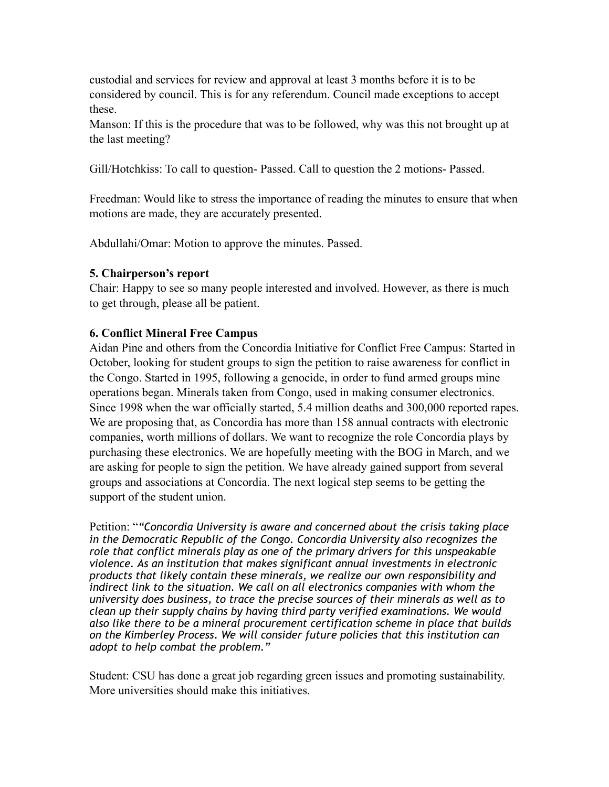custodial and services for review and approval at least 3 months before it is to be considered by council. This is for any referendum. Council made exceptions to accept these.

Manson: If this is the procedure that was to be followed, why was this not brought up at the last meeting?

Gill/Hotchkiss: To call to question- Passed. Call to question the 2 motions- Passed.

Freedman: Would like to stress the importance of reading the minutes to ensure that when motions are made, they are accurately presented.

Abdullahi/Omar: Motion to approve the minutes. Passed.

# **5. Chairperson's report**

Chair: Happy to see so many people interested and involved. However, as there is much to get through, please all be patient.

# **6. Conflict Mineral Free Campus**

Aidan Pine and others from the Concordia Initiative for Conflict Free Campus: Started in October, looking for student groups to sign the petition to raise awareness for conflict in the Congo. Started in 1995, following a genocide, in order to fund armed groups mine operations began. Minerals taken from Congo, used in making consumer electronics. Since 1998 when the war officially started, 5.4 million deaths and 300,000 reported rapes. We are proposing that, as Concordia has more than 158 annual contracts with electronic companies, worth millions of dollars. We want to recognize the role Concordia plays by purchasing these electronics. We are hopefully meeting with the BOG in March, and we are asking for people to sign the petition. We have already gained support from several groups and associations at Concordia. The next logical step seems to be getting the support of the student union.

Petition: "*"Concordia University is aware and concerned about the crisis taking place in the Democratic Republic of the Congo. Concordia University also recognizes the role that conflict minerals play as one of the primary drivers for this unspeakable violence. As an institution that makes significant annual investments in electronic products that likely contain these minerals, we realize our own responsibility and indirect link to the situation. We call on all electronics companies with whom the university does business, to trace the precise sources of their minerals as well as to clean up their supply chains by having third party verified examinations. We would also like there to be a mineral procurement certification scheme in place that builds on the Kimberley Process. We will consider future policies that this institution can adopt to help combat the problem."* 

Student: CSU has done a great job regarding green issues and promoting sustainability. More universities should make this initiatives.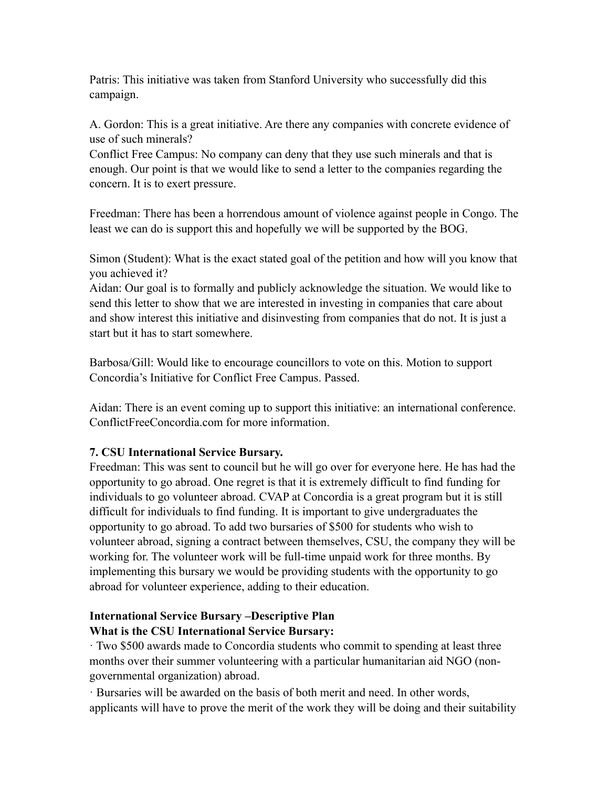Patris: This initiative was taken from Stanford University who successfully did this campaign.

A. Gordon: This is a great initiative. Are there any companies with concrete evidence of use of such minerals?

Conflict Free Campus: No company can deny that they use such minerals and that is enough. Our point is that we would like to send a letter to the companies regarding the concern. It is to exert pressure.

Freedman: There has been a horrendous amount of violence against people in Congo. The least we can do is support this and hopefully we will be supported by the BOG.

Simon (Student): What is the exact stated goal of the petition and how will you know that you achieved it?

Aidan: Our goal is to formally and publicly acknowledge the situation. We would like to send this letter to show that we are interested in investing in companies that care about and show interest this initiative and disinvesting from companies that do not. It is just a start but it has to start somewhere.

Barbosa/Gill: Would like to encourage councillors to vote on this. Motion to support Concordia's Initiative for Conflict Free Campus. Passed.

Aidan: There is an event coming up to support this initiative: an international conference. ConflictFreeConcordia.com for more information.

## **7. CSU International Service Bursary.**

Freedman: This was sent to council but he will go over for everyone here. He has had the opportunity to go abroad. One regret is that it is extremely difficult to find funding for individuals to go volunteer abroad. CVAP at Concordia is a great program but it is still difficult for individuals to find funding. It is important to give undergraduates the opportunity to go abroad. To add two bursaries of \$500 for students who wish to volunteer abroad, signing a contract between themselves, CSU, the company they will be working for. The volunteer work will be full-time unpaid work for three months. By implementing this bursary we would be providing students with the opportunity to go abroad for volunteer experience, adding to their education.

# **International Service Bursary –Descriptive Plan What is the CSU International Service Bursary:**

· Two \$500 awards made to Concordia students who commit to spending at least three months over their summer volunteering with a particular humanitarian aid NGO (nongovernmental organization) abroad.

· Bursaries will be awarded on the basis of both merit and need. In other words, applicants will have to prove the merit of the work they will be doing and their suitability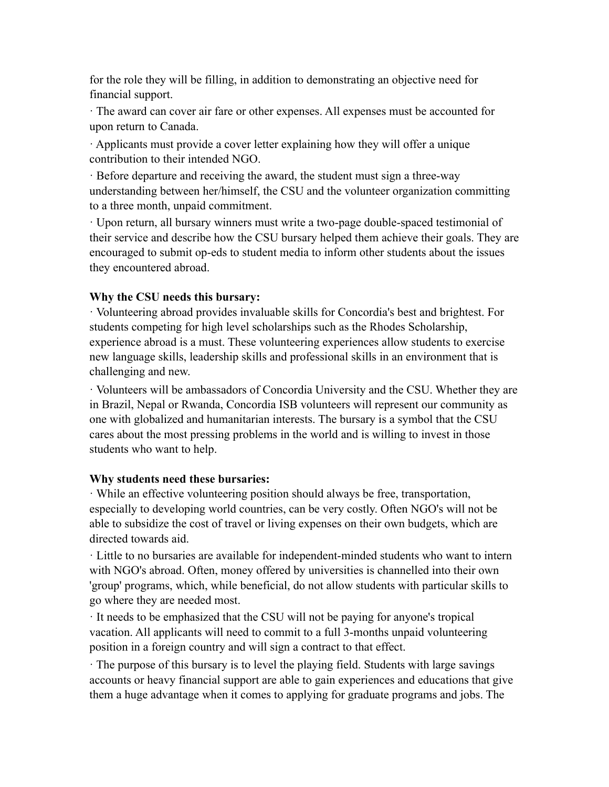for the role they will be filling, in addition to demonstrating an objective need for financial support.

· The award can cover air fare or other expenses. All expenses must be accounted for upon return to Canada.

· Applicants must provide a cover letter explaining how they will offer a unique contribution to their intended NGO.

· Before departure and receiving the award, the student must sign a three-way understanding between her/himself, the CSU and the volunteer organization committing to a three month, unpaid commitment.

· Upon return, all bursary winners must write a two-page double-spaced testimonial of their service and describe how the CSU bursary helped them achieve their goals. They are encouraged to submit op-eds to student media to inform other students about the issues they encountered abroad.

### **Why the CSU needs this bursary:**

· Volunteering abroad provides invaluable skills for Concordia's best and brightest. For students competing for high level scholarships such as the Rhodes Scholarship, experience abroad is a must. These volunteering experiences allow students to exercise new language skills, leadership skills and professional skills in an environment that is challenging and new.

· Volunteers will be ambassadors of Concordia University and the CSU. Whether they are in Brazil, Nepal or Rwanda, Concordia ISB volunteers will represent our community as one with globalized and humanitarian interests. The bursary is a symbol that the CSU cares about the most pressing problems in the world and is willing to invest in those students who want to help.

### **Why students need these bursaries:**

· While an effective volunteering position should always be free, transportation, especially to developing world countries, can be very costly. Often NGO's will not be able to subsidize the cost of travel or living expenses on their own budgets, which are directed towards aid.

· Little to no bursaries are available for independent-minded students who want to intern with NGO's abroad. Often, money offered by universities is channelled into their own 'group' programs, which, while beneficial, do not allow students with particular skills to go where they are needed most.

· It needs to be emphasized that the CSU will not be paying for anyone's tropical vacation. All applicants will need to commit to a full 3-months unpaid volunteering position in a foreign country and will sign a contract to that effect.

· The purpose of this bursary is to level the playing field. Students with large savings accounts or heavy financial support are able to gain experiences and educations that give them a huge advantage when it comes to applying for graduate programs and jobs. The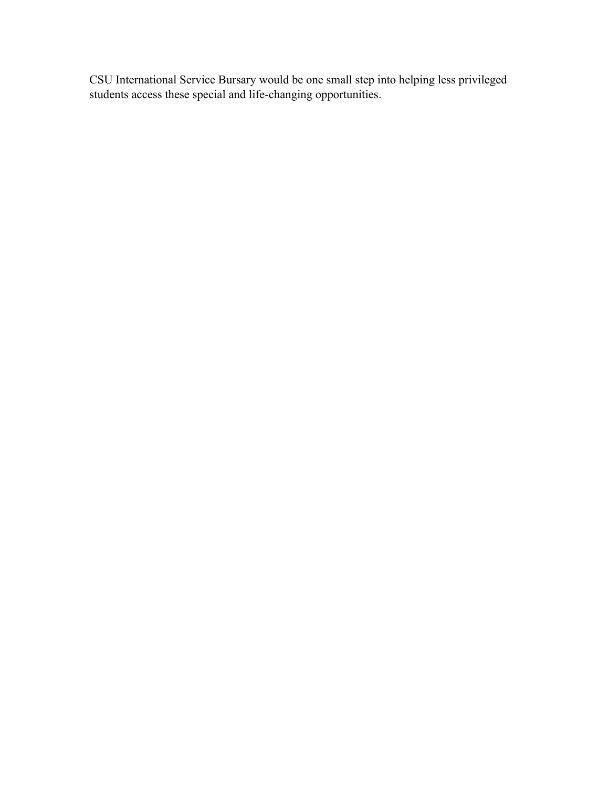CSU International Service Bursary would be one small step into helping less privileged students access these special and life-changing opportunities.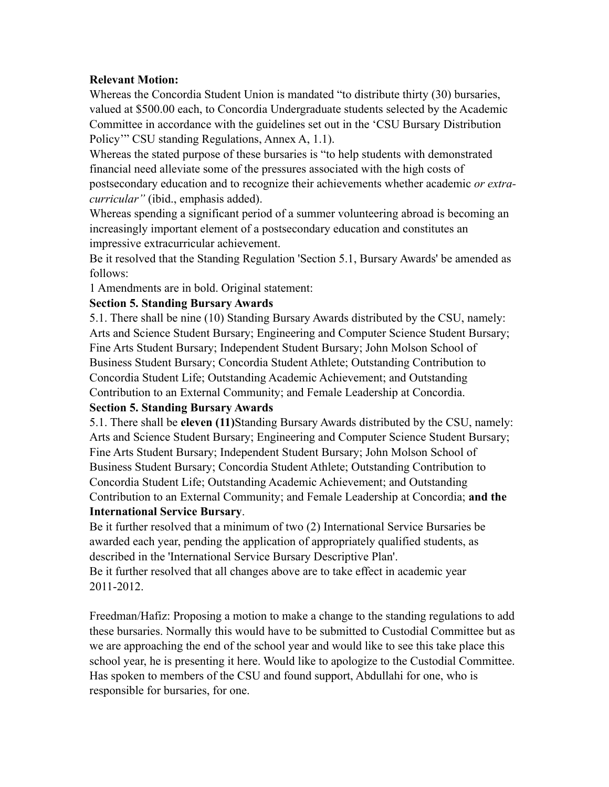## **Relevant Motion:**

Whereas the Concordia Student Union is mandated "to distribute thirty (30) bursaries, valued at \$500.00 each, to Concordia Undergraduate students selected by the Academic Committee in accordance with the guidelines set out in the 'CSU Bursary Distribution Policy'" CSU standing Regulations, Annex A, 1.1).

Whereas the stated purpose of these bursaries is "to help students with demonstrated financial need alleviate some of the pressures associated with the high costs of postsecondary education and to recognize their achievements whether academic *or extracurricular"* (ibid., emphasis added).

Whereas spending a significant period of a summer volunteering abroad is becoming an increasingly important element of a postsecondary education and constitutes an impressive extracurricular achievement.

Be it resolved that the Standing Regulation 'Section 5.1, Bursary Awards' be amended as follows:

1 Amendments are in bold. Original statement:

## **Section 5. Standing Bursary Awards**

5.1. There shall be nine (10) Standing Bursary Awards distributed by the CSU, namely: Arts and Science Student Bursary; Engineering and Computer Science Student Bursary; Fine Arts Student Bursary; Independent Student Bursary; John Molson School of Business Student Bursary; Concordia Student Athlete; Outstanding Contribution to Concordia Student Life; Outstanding Academic Achievement; and Outstanding Contribution to an External Community; and Female Leadership at Concordia.

# **Section 5. Standing Bursary Awards**

5.1. There shall be **eleven (11)**Standing Bursary Awards distributed by the CSU, namely: Arts and Science Student Bursary; Engineering and Computer Science Student Bursary; Fine Arts Student Bursary; Independent Student Bursary; John Molson School of Business Student Bursary; Concordia Student Athlete; Outstanding Contribution to Concordia Student Life; Outstanding Academic Achievement; and Outstanding Contribution to an External Community; and Female Leadership at Concordia; **and the International Service Bursary**.

Be it further resolved that a minimum of two (2) International Service Bursaries be awarded each year, pending the application of appropriately qualified students, as described in the 'International Service Bursary Descriptive Plan'.

Be it further resolved that all changes above are to take effect in academic year 2011-2012.

Freedman/Hafiz: Proposing a motion to make a change to the standing regulations to add these bursaries. Normally this would have to be submitted to Custodial Committee but as we are approaching the end of the school year and would like to see this take place this school year, he is presenting it here. Would like to apologize to the Custodial Committee. Has spoken to members of the CSU and found support, Abdullahi for one, who is responsible for bursaries, for one.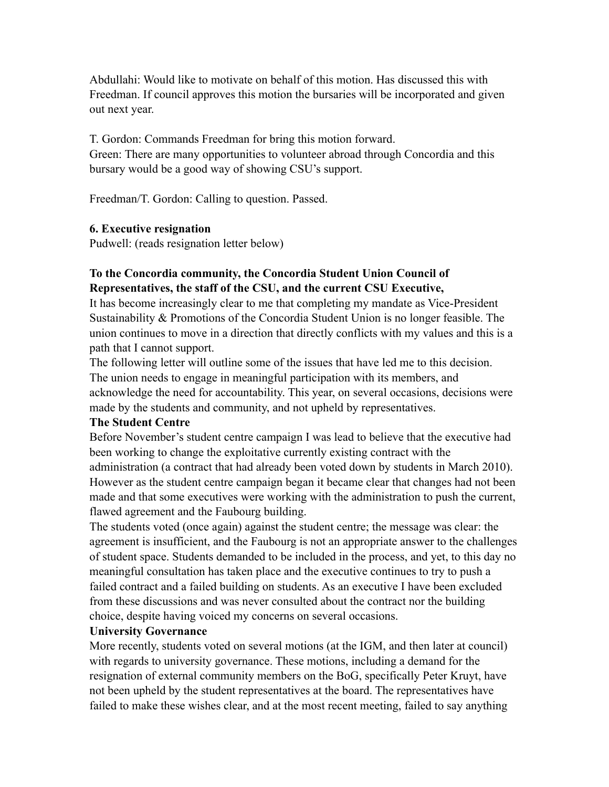Abdullahi: Would like to motivate on behalf of this motion. Has discussed this with Freedman. If council approves this motion the bursaries will be incorporated and given out next year.

T. Gordon: Commands Freedman for bring this motion forward. Green: There are many opportunities to volunteer abroad through Concordia and this bursary would be a good way of showing CSU's support.

Freedman/T. Gordon: Calling to question. Passed.

#### **6. Executive resignation**

Pudwell: (reads resignation letter below)

## **To the Concordia community, the Concordia Student Union Council of Representatives, the staff of the CSU, and the current CSU Executive,**

It has become increasingly clear to me that completing my mandate as Vice-President Sustainability & Promotions of the Concordia Student Union is no longer feasible. The union continues to move in a direction that directly conflicts with my values and this is a path that I cannot support.

The following letter will outline some of the issues that have led me to this decision. The union needs to engage in meaningful participation with its members, and acknowledge the need for accountability. This year, on several occasions, decisions were made by the students and community, and not upheld by representatives.

### **The Student Centre**

Before November's student centre campaign I was lead to believe that the executive had been working to change the exploitative currently existing contract with the administration (a contract that had already been voted down by students in March 2010). However as the student centre campaign began it became clear that changes had not been made and that some executives were working with the administration to push the current, flawed agreement and the Faubourg building.

The students voted (once again) against the student centre; the message was clear: the agreement is insufficient, and the Faubourg is not an appropriate answer to the challenges of student space. Students demanded to be included in the process, and yet, to this day no meaningful consultation has taken place and the executive continues to try to push a failed contract and a failed building on students. As an executive I have been excluded from these discussions and was never consulted about the contract nor the building choice, despite having voiced my concerns on several occasions.

#### **University Governance**

More recently, students voted on several motions (at the IGM, and then later at council) with regards to university governance. These motions, including a demand for the resignation of external community members on the BoG, specifically Peter Kruyt, have not been upheld by the student representatives at the board. The representatives have failed to make these wishes clear, and at the most recent meeting, failed to say anything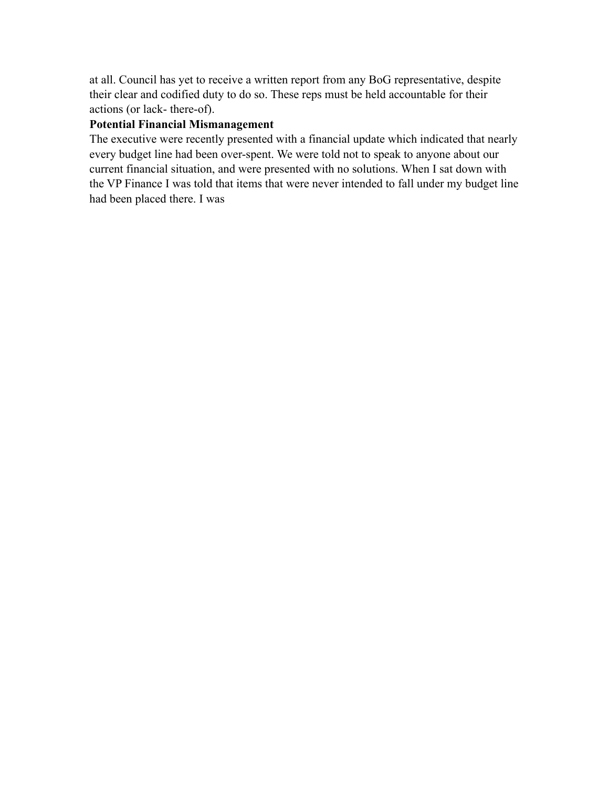at all. Council has yet to receive a written report from any BoG representative, despite their clear and codified duty to do so. These reps must be held accountable for their actions (or lack- there-of).

## **Potential Financial Mismanagement**

The executive were recently presented with a financial update which indicated that nearly every budget line had been over-spent. We were told not to speak to anyone about our current financial situation, and were presented with no solutions. When I sat down with the VP Finance I was told that items that were never intended to fall under my budget line had been placed there. I was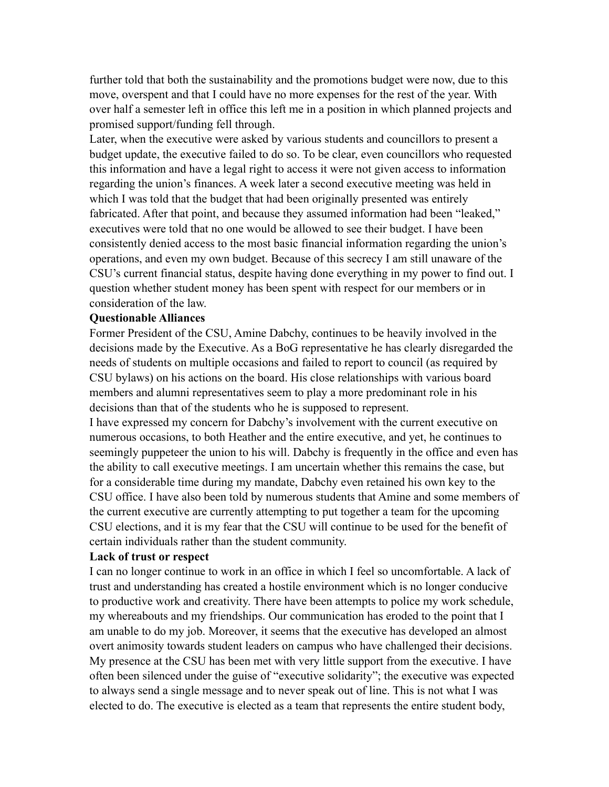further told that both the sustainability and the promotions budget were now, due to this move, overspent and that I could have no more expenses for the rest of the year. With over half a semester left in office this left me in a position in which planned projects and promised support/funding fell through.

Later, when the executive were asked by various students and councillors to present a budget update, the executive failed to do so. To be clear, even councillors who requested this information and have a legal right to access it were not given access to information regarding the union's finances. A week later a second executive meeting was held in which I was told that the budget that had been originally presented was entirely fabricated. After that point, and because they assumed information had been "leaked," executives were told that no one would be allowed to see their budget. I have been consistently denied access to the most basic financial information regarding the union's operations, and even my own budget. Because of this secrecy I am still unaware of the CSU's current financial status, despite having done everything in my power to find out. I question whether student money has been spent with respect for our members or in consideration of the law.

#### **Questionable Alliances**

Former President of the CSU, Amine Dabchy, continues to be heavily involved in the decisions made by the Executive. As a BoG representative he has clearly disregarded the needs of students on multiple occasions and failed to report to council (as required by CSU bylaws) on his actions on the board. His close relationships with various board members and alumni representatives seem to play a more predominant role in his decisions than that of the students who he is supposed to represent.

I have expressed my concern for Dabchy's involvement with the current executive on numerous occasions, to both Heather and the entire executive, and yet, he continues to seemingly puppeteer the union to his will. Dabchy is frequently in the office and even has the ability to call executive meetings. I am uncertain whether this remains the case, but for a considerable time during my mandate, Dabchy even retained his own key to the CSU office. I have also been told by numerous students that Amine and some members of the current executive are currently attempting to put together a team for the upcoming CSU elections, and it is my fear that the CSU will continue to be used for the benefit of certain individuals rather than the student community.

#### **Lack of trust or respect**

I can no longer continue to work in an office in which I feel so uncomfortable. A lack of trust and understanding has created a hostile environment which is no longer conducive to productive work and creativity. There have been attempts to police my work schedule, my whereabouts and my friendships. Our communication has eroded to the point that I am unable to do my job. Moreover, it seems that the executive has developed an almost overt animosity towards student leaders on campus who have challenged their decisions. My presence at the CSU has been met with very little support from the executive. I have often been silenced under the guise of "executive solidarity"; the executive was expected to always send a single message and to never speak out of line. This is not what I was elected to do. The executive is elected as a team that represents the entire student body,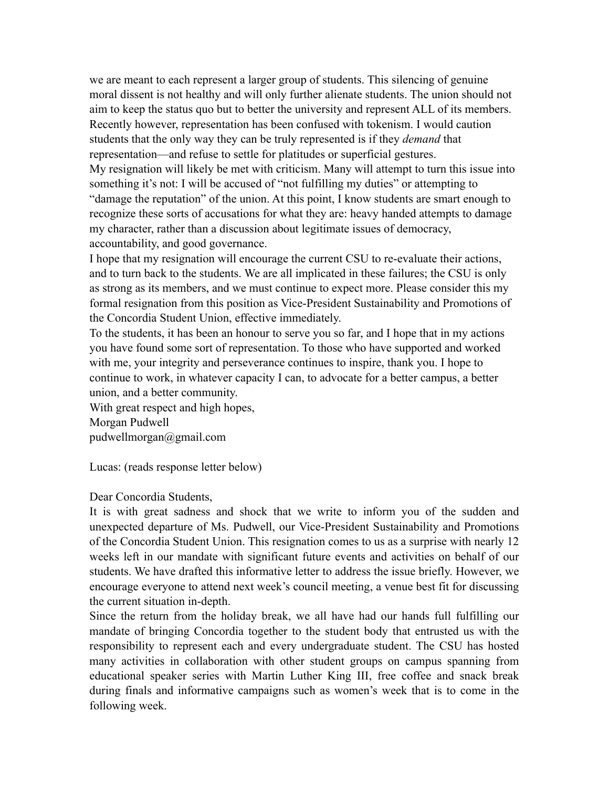we are meant to each represent a larger group of students. This silencing of genuine moral dissent is not healthy and will only further alienate students. The union should not aim to keep the status quo but to better the university and represent ALL of its members. Recently however, representation has been confused with tokenism. I would caution students that the only way they can be truly represented is if they *demand* that representation—and refuse to settle for platitudes or superficial gestures. My resignation will likely be met with criticism. Many will attempt to turn this issue into something it's not: I will be accused of "not fulfilling my duties" or attempting to "damage the reputation" of the union. At this point, I know students are smart enough to recognize these sorts of accusations for what they are: heavy handed attempts to damage my character, rather than a discussion about legitimate issues of democracy, accountability, and good governance.

I hope that my resignation will encourage the current CSU to re-evaluate their actions, and to turn back to the students. We are all implicated in these failures; the CSU is only as strong as its members, and we must continue to expect more. Please consider this my formal resignation from this position as Vice-President Sustainability and Promotions of the Concordia Student Union, effective immediately.

To the students, it has been an honour to serve you so far, and I hope that in my actions you have found some sort of representation. To those who have supported and worked with me, your integrity and perseverance continues to inspire, thank you. I hope to continue to work, in whatever capacity I can, to advocate for a better campus, a better union, and a better community.

With great respect and high hopes, Morgan Pudwell pudwellmorgan@gmail.com

Lucas: (reads response letter below)

### Dear Concordia Students,

It is with great sadness and shock that we write to inform you of the sudden and unexpected departure of Ms. Pudwell, our Vice-President Sustainability and Promotions of the Concordia Student Union. This resignation comes to us as a surprise with nearly 12 weeks left in our mandate with significant future events and activities on behalf of our students. We have drafted this informative letter to address the issue briefly. However, we encourage everyone to attend next week's council meeting, a venue best fit for discussing the current situation in-depth.

Since the return from the holiday break, we all have had our hands full fulfilling our mandate of bringing Concordia together to the student body that entrusted us with the responsibility to represent each and every undergraduate student. The CSU has hosted many activities in collaboration with other student groups on campus spanning from educational speaker series with Martin Luther King III, free coffee and snack break during finals and informative campaigns such as women's week that is to come in the following week.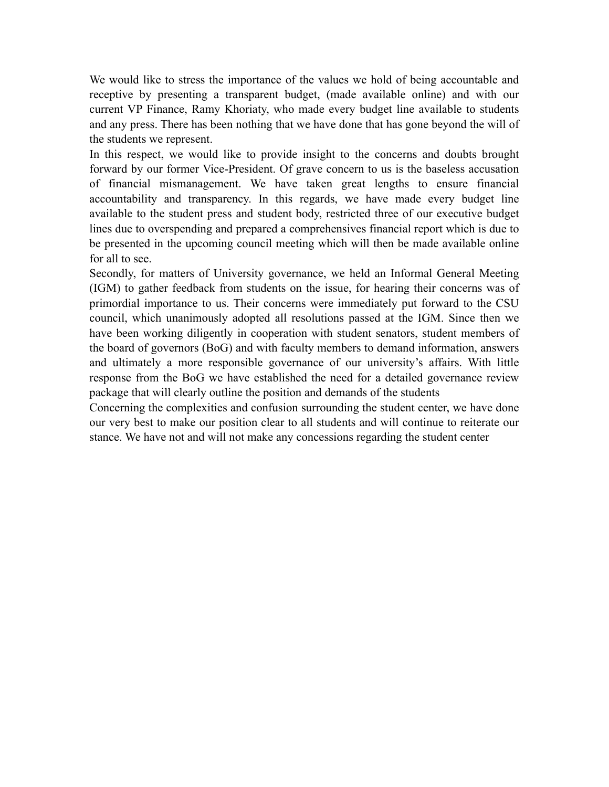We would like to stress the importance of the values we hold of being accountable and receptive by presenting a transparent budget, (made available online) and with our current VP Finance, Ramy Khoriaty, who made every budget line available to students and any press. There has been nothing that we have done that has gone beyond the will of the students we represent.

In this respect, we would like to provide insight to the concerns and doubts brought forward by our former Vice-President. Of grave concern to us is the baseless accusation of financial mismanagement. We have taken great lengths to ensure financial accountability and transparency. In this regards, we have made every budget line available to the student press and student body, restricted three of our executive budget lines due to overspending and prepared a comprehensives financial report which is due to be presented in the upcoming council meeting which will then be made available online for all to see.

Secondly, for matters of University governance, we held an Informal General Meeting (IGM) to gather feedback from students on the issue, for hearing their concerns was of primordial importance to us. Their concerns were immediately put forward to the CSU council, which unanimously adopted all resolutions passed at the IGM. Since then we have been working diligently in cooperation with student senators, student members of the board of governors (BoG) and with faculty members to demand information, answers and ultimately a more responsible governance of our university's affairs. With little response from the BoG we have established the need for a detailed governance review package that will clearly outline the position and demands of the students

Concerning the complexities and confusion surrounding the student center, we have done our very best to make our position clear to all students and will continue to reiterate our stance. We have not and will not make any concessions regarding the student center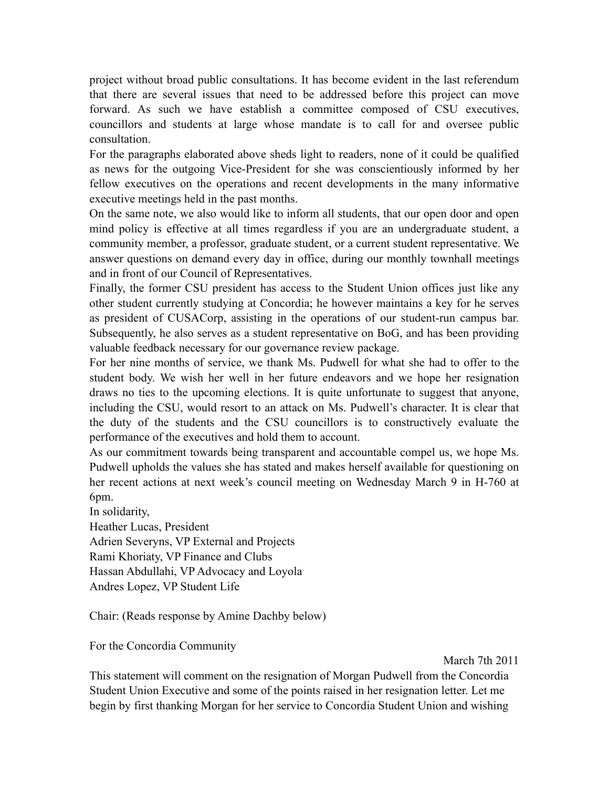project without broad public consultations. It has become evident in the last referendum that there are several issues that need to be addressed before this project can move forward. As such we have establish a committee composed of CSU executives, councillors and students at large whose mandate is to call for and oversee public consultation.

For the paragraphs elaborated above sheds light to readers, none of it could be qualified as news for the outgoing Vice-President for she was conscientiously informed by her fellow executives on the operations and recent developments in the many informative executive meetings held in the past months.

On the same note, we also would like to inform all students, that our open door and open mind policy is effective at all times regardless if you are an undergraduate student, a community member, a professor, graduate student, or a current student representative. We answer questions on demand every day in office, during our monthly townhall meetings and in front of our Council of Representatives.

Finally, the former CSU president has access to the Student Union offices just like any other student currently studying at Concordia; he however maintains a key for he serves as president of CUSACorp, assisting in the operations of our student-run campus bar. Subsequently, he also serves as a student representative on BoG, and has been providing valuable feedback necessary for our governance review package.

For her nine months of service, we thank Ms. Pudwell for what she had to offer to the student body. We wish her well in her future endeavors and we hope her resignation draws no ties to the upcoming elections. It is quite unfortunate to suggest that anyone, including the CSU, would resort to an attack on Ms. Pudwell's character. It is clear that the duty of the students and the CSU councillors is to constructively evaluate the performance of the executives and hold them to account.

As our commitment towards being transparent and accountable compel us, we hope Ms. Pudwell upholds the values she has stated and makes herself available for questioning on her recent actions at next week's council meeting on Wednesday March 9 in H-760 at 6pm.

In solidarity,

Heather Lucas, President

Adrien Severyns, VP External and Projects Rami Khoriaty, VP Finance and Clubs Hassan Abdullahi, VP Advocacy and Loyola

Andres Lopez, VP Student Life

Chair: (Reads response by Amine Dachby below)

For the Concordia Community

March 7th 2011

This statement will comment on the resignation of Morgan Pudwell from the Concordia Student Union Executive and some of the points raised in her resignation letter. Let me begin by first thanking Morgan for her service to Concordia Student Union and wishing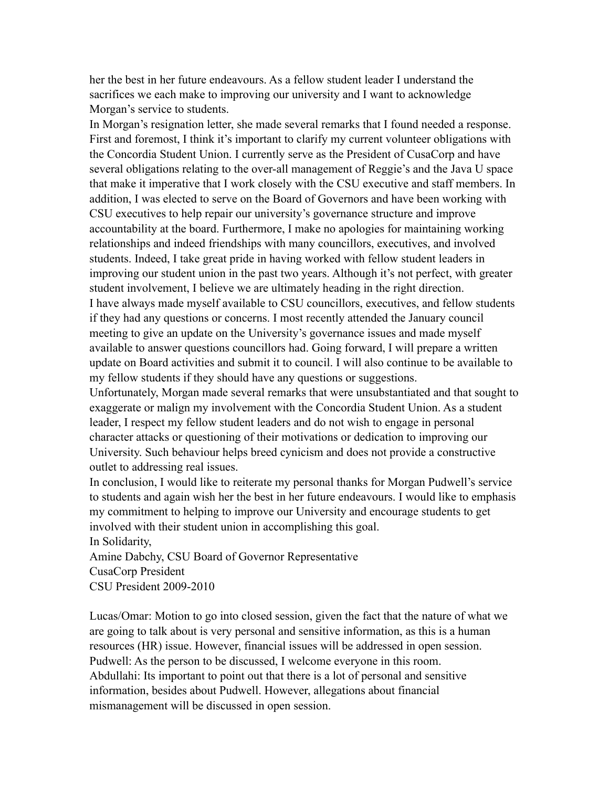her the best in her future endeavours. As a fellow student leader I understand the sacrifices we each make to improving our university and I want to acknowledge Morgan's service to students.

In Morgan's resignation letter, she made several remarks that I found needed a response. First and foremost, I think it's important to clarify my current volunteer obligations with the Concordia Student Union. I currently serve as the President of CusaCorp and have several obligations relating to the over-all management of Reggie's and the Java U space that make it imperative that I work closely with the CSU executive and staff members. In addition, I was elected to serve on the Board of Governors and have been working with CSU executives to help repair our university's governance structure and improve accountability at the board. Furthermore, I make no apologies for maintaining working relationships and indeed friendships with many councillors, executives, and involved students. Indeed, I take great pride in having worked with fellow student leaders in improving our student union in the past two years. Although it's not perfect, with greater student involvement, I believe we are ultimately heading in the right direction. I have always made myself available to CSU councillors, executives, and fellow students if they had any questions or concerns. I most recently attended the January council meeting to give an update on the University's governance issues and made myself available to answer questions councillors had. Going forward, I will prepare a written update on Board activities and submit it to council. I will also continue to be available to

Unfortunately, Morgan made several remarks that were unsubstantiated and that sought to exaggerate or malign my involvement with the Concordia Student Union. As a student leader, I respect my fellow student leaders and do not wish to engage in personal character attacks or questioning of their motivations or dedication to improving our University. Such behaviour helps breed cynicism and does not provide a constructive outlet to addressing real issues.

my fellow students if they should have any questions or suggestions.

In conclusion, I would like to reiterate my personal thanks for Morgan Pudwell's service to students and again wish her the best in her future endeavours. I would like to emphasis my commitment to helping to improve our University and encourage students to get involved with their student union in accomplishing this goal. In Solidarity,

Amine Dabchy, CSU Board of Governor Representative CusaCorp President CSU President 2009-2010

Lucas/Omar: Motion to go into closed session, given the fact that the nature of what we are going to talk about is very personal and sensitive information, as this is a human resources (HR) issue. However, financial issues will be addressed in open session. Pudwell: As the person to be discussed, I welcome everyone in this room. Abdullahi: Its important to point out that there is a lot of personal and sensitive information, besides about Pudwell. However, allegations about financial mismanagement will be discussed in open session.